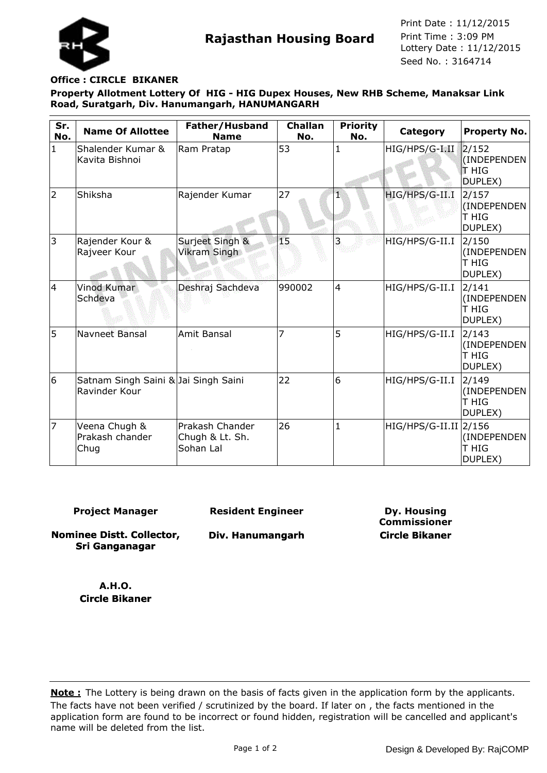

**Rajasthan Housing Board** Print Time : 3:09 PM<br>Lottery Date : 11/12/2015 Seed No. : 3164714 Print Date : 11/12/2015 Print Time : 3:09 PM

## **Office : CIRCLE BIKANER**

**Property Allotment Lottery Of HIG - HIG Dupex Houses, New RHB Scheme, Manaksar Link Road, Suratgarh, Div. Hanumangarh, HANUMANGARH**

| Sr.<br>No.   | <b>Name Of Allottee</b>                               | Father/Husband<br><b>Name</b>                   | <b>Challan</b><br>No. | <b>Priority</b><br>No. | Category                | <b>Property No.</b>                      |
|--------------|-------------------------------------------------------|-------------------------------------------------|-----------------------|------------------------|-------------------------|------------------------------------------|
| $\mathbf{1}$ | Shalender Kumar &<br>Kavita Bishnoi                   | Ram Pratap                                      | 53                    |                        | HIG/HPS/G-I.II          | 2/152<br>(INDEPENDEN<br>T HIG<br>DUPLEX) |
| 2            | Shiksha                                               | Rajender Kumar                                  | 27                    |                        | HIG/HPS/G-II.I          | 2/157<br>(INDEPENDEN<br>T HIG<br>DUPLEX) |
| 3            | Rajender Kour &<br>Rajveer Kour                       | Surjeet Singh &<br><b>Vikram Singh</b>          | 15                    | 3                      | HIG/HPS/G-II.I          | 2/150<br>(INDEPENDEN<br>T HIG<br>DUPLEX) |
| 4            | <b>Vinod Kumar</b><br>Schdeva                         | Deshraj Sachdeva                                | 990002                | $\overline{4}$         | HIG/HPS/G-II.I          | 2/141<br>(INDEPENDEN<br>T HIG<br>DUPLEX) |
| 5            | Navneet Bansal                                        | Amit Bansal                                     | 7                     | 5                      | HIG/HPS/G-II.I          | 2/143<br>(INDEPENDEN<br>T HIG<br>DUPLEX) |
| 6            | Satnam Singh Saini & Jai Singh Saini<br>Ravinder Kour |                                                 | 22                    | 6                      | HIG/HPS/G-II.I          | 2/149<br>(INDEPENDEN<br>T HIG<br>DUPLEX) |
| 17           | Veena Chugh &<br>Prakash chander<br>Chug              | Prakash Chander<br>Chugh & Lt. Sh.<br>Sohan Lal | 26                    | 1                      | $HIG/HPS/G-II.II$ 2/156 | (INDEPENDEN<br>T HIG<br>DUPLEX)          |

**Project Manager**

**Resident Engineer**

**Nominee Distt. Collector, Sri Ganganagar**

**Div. Hanumangarh**

**Dy. Housing Commissioner Circle Bikaner**

**A.H.O. Circle Bikaner**

The facts have not been verified / scrutinized by the board. If later on , the facts mentioned in the application form are found to be incorrect or found hidden, registration will be cancelled and applicant's name will be deleted from the list. **Note :** The Lottery is being drawn on the basis of facts given in the application form by the applicants.